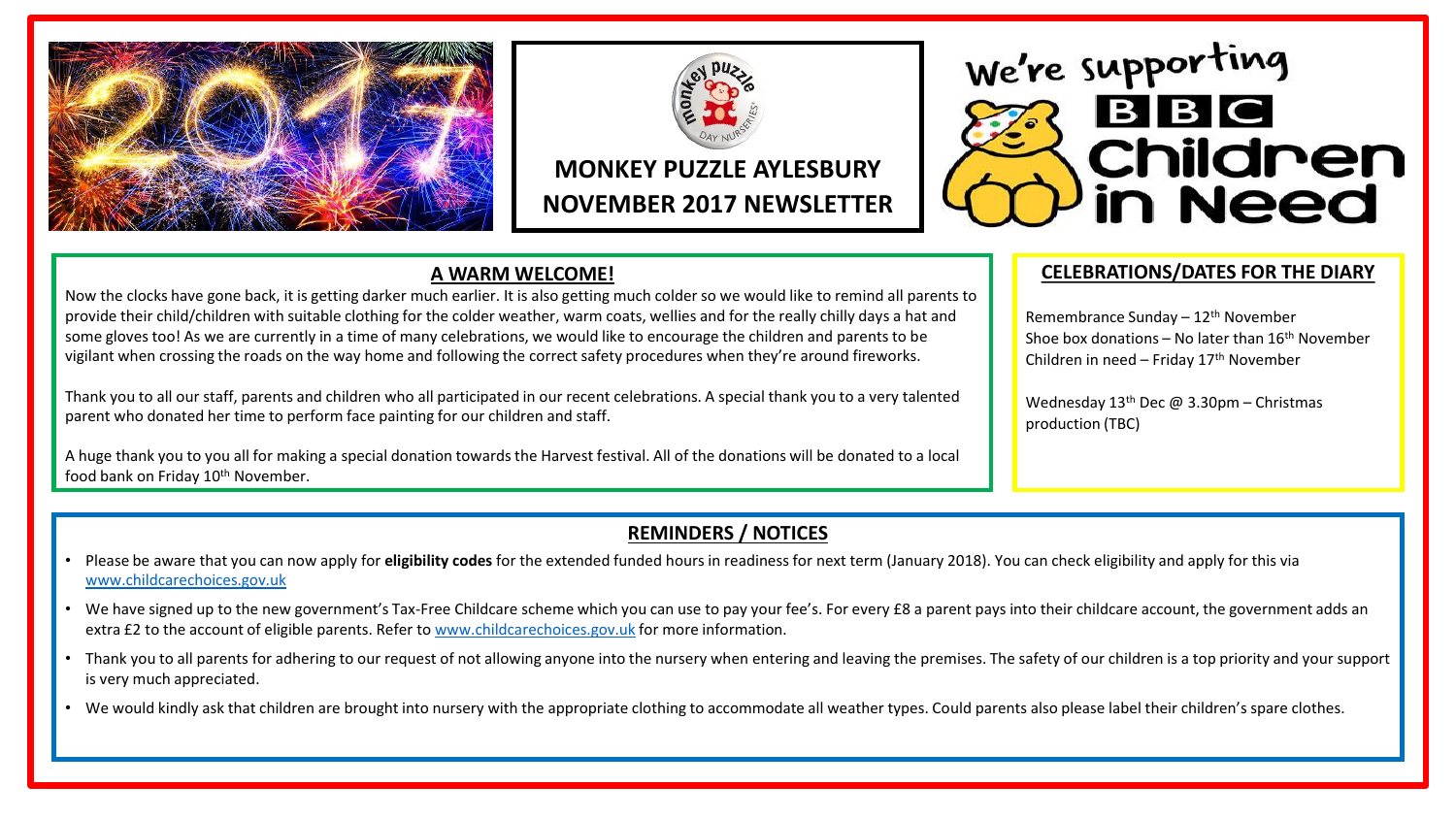



# **MONKEY PUZZLE AYLESBURY NOVEMBER 2017 NEWSLETTER**

### **A WARM WELCOME!**

Now the clocks have gone back, it is getting darker much earlier. It is also getting much colder so we would like to remind all parents to provide their child/children with suitable clothing for the colder weather, warm coats, wellies and for the really chilly days a hat and some gloves too! As we are currently in a time of many celebrations, we would like to encourage the children and parents to be vigilant when crossing the roads on the way home and following the correct safety procedures when they're around fireworks.

Thank you to all our staff, parents and children who all participated in our recent celebrations. A special thank you to a very talented parent who donated her time to perform face painting for our children and staff.

A huge thank you to you all for making a special donation towards the Harvest festival. All of the donations will be donated to a local food bank on Friday 10<sup>th</sup> November.

#### **CELEBRATIONS/DATES FOR THE DIARY**

**Children** 

n Need

BBC

Remembrance Sunday  $-12$ <sup>th</sup> November Shoe box donations – No later than  $16<sup>th</sup>$  November Children in need – Friday  $17<sup>th</sup>$  November

Wednesday  $13<sup>th</sup>$  Dec @ 3.30pm – Christmas production (TBC)

We're supporting

### **REMINDERS / NOTICES**

- Please be aware that you can now apply for **eligibility codes** for the extended funded hours in readiness for next term (January 2018). You can check eligibility and apply for this via [www.childcarechoices.gov.uk](http://www.childcarechoices.gov.uk/)
- We have signed up to the new government's Tax-Free Childcare scheme which you can use to pay your fee's. For every £8 a parent pays into their childcare account, the government adds an extra £2 to the account of eligible parents. Refer to [www.childcarechoices.gov.uk](http://www.childcarechoices.gov.uk/) for more information.
- Thank you to all parents for adhering to our request of not allowing anyone into the nursery when entering and leaving the premises. The safety of our children is a top priority and your support is very much appreciated.
- We would kindly ask that children are brought into nursery with the appropriate clothing to accommodate all weather types. Could parents also please label their children's spare clothes.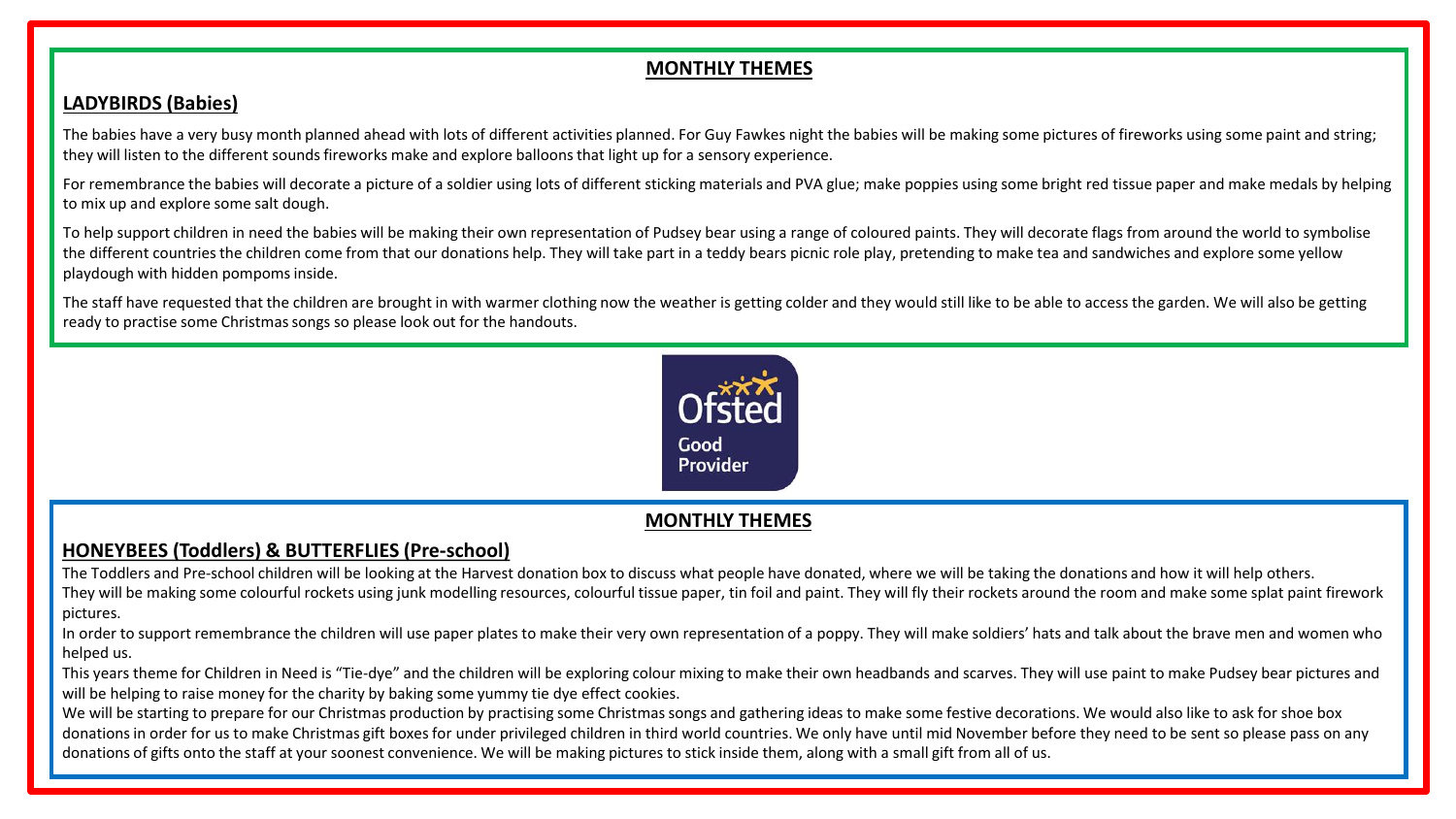## **MONTHLY THEMES**

#### **LADYBIRDS (Babies)**

The babies have a very busy month planned ahead with lots of different activities planned. For Guy Fawkes night the babies will be making some pictures of fireworks using some paint and string; they will listen to the different sounds fireworks make and explore balloons that light up for a sensory experience.

For remembrance the babies will decorate a picture of a soldier using lots of different sticking materials and PVA glue; make poppies using some bright red tissue paper and make medals by helping to mix up and explore some salt dough.

To help support children in need the babies will be making their own representation of Pudsey bear using a range of coloured paints. They will decorate flags from around the world to symbolise the different countries the children come from that our donations help. They will take part in a teddy bears picnic role play, pretending to make tea and sandwiches and explore some yellow playdough with hidden pompoms inside.

The staff have requested that the children are brought in with warmer clothing now the weather is getting colder and they would still like to be able to access the garden. We will also be getting ready to practise some Christmas songs so please look out for the handouts.



# **MONTHLY THEMES**

# **HONEYBEES (Toddlers) & BUTTERFLIES (Pre-school)**

The Toddlers and Pre-school children will be looking at the Harvest donation box to discuss what people have donated, where we will be taking the donations and how it will help others. They will be making some colourful rockets using junk modelling resources, colourful tissue paper, tin foil and paint. They will fly their rockets around the room and make some splat paint firework pictures.

In order to support remembrance the children will use paper plates to make their very own representation of a poppy. They will make soldiers' hats and talk about the brave men and women who helped us.

This years theme for Children in Need is "Tie-dye" and the children will be exploring colour mixing to make their own headbands and scarves. They will use paint to make Pudsey bear pictures and will be helping to raise money for the charity by baking some yummy tie dye effect cookies.

We will be starting to prepare for our Christmas production by practising some Christmas songs and gathering ideas to make some festive decorations. We would also like to ask for shoe box donations in order for us to make Christmas gift boxes for under privileged children in third world countries. We only have until mid November before they need to be sent so please pass on any donations of gifts onto the staff at your soonest convenience. We will be making pictures to stick inside them, along with a small gift from all of us.